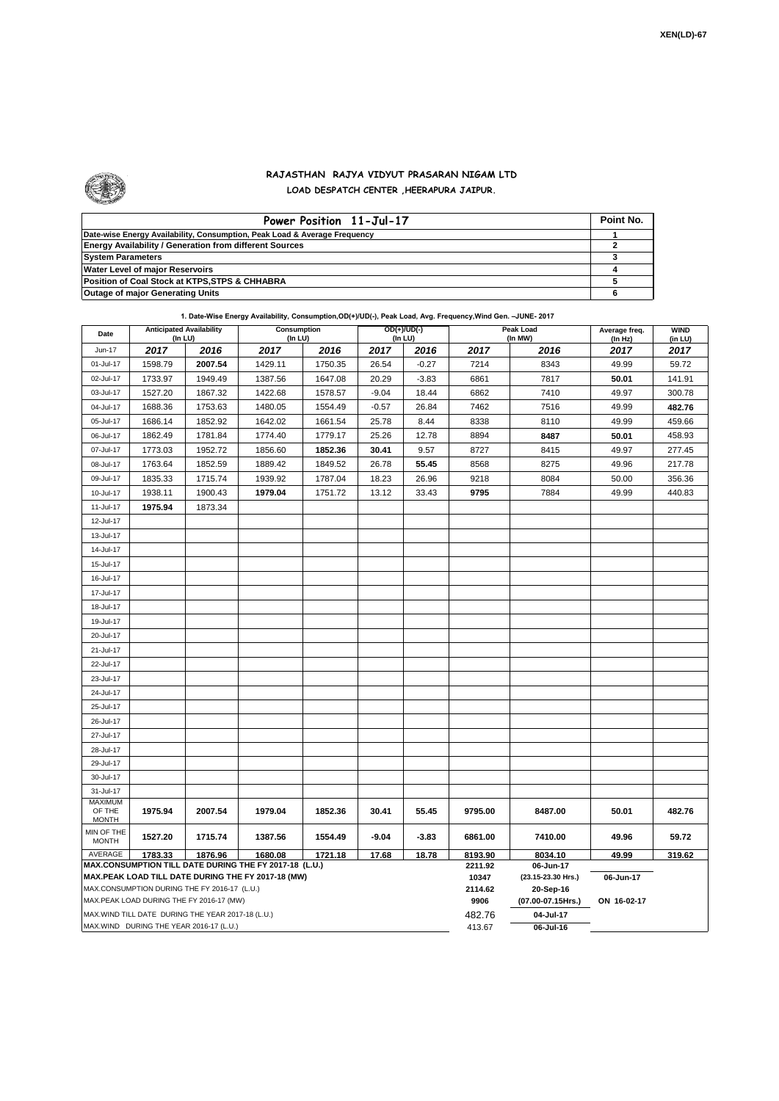

 $\mathbf{r}$ 

## **RAJASTHAN RAJYA VIDYUT PRASARAN NIGAM LTD LOAD DESPATCH CENTER ,HEERAPURA JAIPUR.**

| Power Position 11-Jul-17                                                  | Point No. |
|---------------------------------------------------------------------------|-----------|
| Date-wise Energy Availability, Consumption, Peak Load & Average Frequency |           |
| <b>Energy Availability / Generation from different Sources</b>            |           |
| <b>System Parameters</b>                                                  |           |
| <b>Water Level of major Reservoirs</b>                                    |           |
| Position of Coal Stock at KTPS, STPS & CHHABRA                            |           |
| <b>Outage of major Generating Units</b>                                   |           |

| 1. Date-Wise Energy Availability, Consumption, OD(+)/UD(-), Peak Load, Avg. Frequency, Wind Gen. -JUNE- 2017 |  |
|--------------------------------------------------------------------------------------------------------------|--|
|--------------------------------------------------------------------------------------------------------------|--|

| Date                                                                                                         | <b>Anticipated Availability</b><br>(In LU)         |         | Consumption<br>(In LU) |         | OD(+)/UD(-)<br>(In LU) |                    |                    | Peak Load<br>(In MW) | Average freq.<br>(ln Hz) | <b>WIND</b><br>(in LU) |  |  |
|--------------------------------------------------------------------------------------------------------------|----------------------------------------------------|---------|------------------------|---------|------------------------|--------------------|--------------------|----------------------|--------------------------|------------------------|--|--|
| Jun-17                                                                                                       | 2017                                               | 2016    | 2017                   | 2016    | 2017                   | 2016               | 2017               | 2016                 | 2017                     | 2017                   |  |  |
| 01-Jul-17                                                                                                    | 1598.79                                            | 2007.54 | 1429.11                | 1750.35 | 26.54                  | $-0.27$            | 7214               | 8343                 | 49.99                    | 59.72                  |  |  |
| 02-Jul-17                                                                                                    | 1733.97                                            | 1949.49 | 1387.56                | 1647.08 | 20.29                  | $-3.83$            | 6861               | 7817                 | 50.01                    | 141.91                 |  |  |
| 03-Jul-17                                                                                                    | 1527.20                                            | 1867.32 | 1422.68                | 1578.57 | $-9.04$                | 18.44              | 6862               | 7410                 | 49.97                    | 300.78                 |  |  |
| 04-Jul-17                                                                                                    | 1688.36                                            | 1753.63 | 1480.05                | 1554.49 | $-0.57$                | 26.84              | 7462               | 7516                 | 49.99                    | 482.76                 |  |  |
| 05-Jul-17                                                                                                    | 1686.14                                            | 1852.92 | 1642.02                | 1661.54 | 25.78                  | 8.44               | 8338               | 8110                 | 49.99                    | 459.66                 |  |  |
| 06-Jul-17                                                                                                    | 1862.49                                            | 1781.84 | 1774.40                | 1779.17 | 25.26                  | 12.78              | 8894               |                      | 8487<br>50.01            |                        |  |  |
| 07-Jul-17                                                                                                    | 1773.03                                            | 1952.72 | 1856.60                | 1852.36 | 30.41                  | 9.57               | 8727               | 8415                 | 49.97                    | 277.45                 |  |  |
| 08-Jul-17                                                                                                    | 1763.64                                            | 1852.59 | 1889.42                | 1849.52 | 26.78                  | 55.45              | 8568               | 8275                 | 49.96                    | 217.78                 |  |  |
| 09-Jul-17                                                                                                    | 1835.33                                            | 1715.74 | 1939.92                | 1787.04 | 18.23                  | 26.96              | 9218               | 8084                 | 50.00                    | 356.36                 |  |  |
| 10-Jul-17                                                                                                    | 1938.11                                            | 1900.43 | 1979.04                | 1751.72 | 13.12                  | 33.43              | 9795               | 7884                 | 49.99                    | 440.83                 |  |  |
| 11-Jul-17                                                                                                    | 1975.94                                            | 1873.34 |                        |         |                        |                    |                    |                      |                          |                        |  |  |
| 12-Jul-17                                                                                                    |                                                    |         |                        |         |                        |                    |                    |                      |                          |                        |  |  |
| 13-Jul-17                                                                                                    |                                                    |         |                        |         |                        |                    |                    |                      |                          |                        |  |  |
| 14-Jul-17                                                                                                    |                                                    |         |                        |         |                        |                    |                    |                      |                          |                        |  |  |
| 15-Jul-17                                                                                                    |                                                    |         |                        |         |                        |                    |                    |                      |                          |                        |  |  |
| 16-Jul-17                                                                                                    |                                                    |         |                        |         |                        |                    |                    |                      |                          |                        |  |  |
| 17-Jul-17                                                                                                    |                                                    |         |                        |         |                        |                    |                    |                      |                          |                        |  |  |
| 18-Jul-17                                                                                                    |                                                    |         |                        |         |                        |                    |                    |                      |                          |                        |  |  |
| 19-Jul-17                                                                                                    |                                                    |         |                        |         |                        |                    |                    |                      |                          |                        |  |  |
| 20-Jul-17                                                                                                    |                                                    |         |                        |         |                        |                    |                    |                      |                          |                        |  |  |
| 21-Jul-17                                                                                                    |                                                    |         |                        |         |                        |                    |                    |                      |                          |                        |  |  |
| 22-Jul-17                                                                                                    |                                                    |         |                        |         |                        |                    |                    |                      |                          |                        |  |  |
| 23-Jul-17                                                                                                    |                                                    |         |                        |         |                        |                    |                    |                      |                          |                        |  |  |
| 24-Jul-17                                                                                                    |                                                    |         |                        |         |                        |                    |                    |                      |                          |                        |  |  |
| 25-Jul-17                                                                                                    |                                                    |         |                        |         |                        |                    |                    |                      |                          |                        |  |  |
| 26-Jul-17                                                                                                    |                                                    |         |                        |         |                        |                    |                    |                      |                          |                        |  |  |
| 27-Jul-17                                                                                                    |                                                    |         |                        |         |                        |                    |                    |                      |                          |                        |  |  |
| 28-Jul-17                                                                                                    |                                                    |         |                        |         |                        |                    |                    |                      |                          |                        |  |  |
| 29-Jul-17                                                                                                    |                                                    |         |                        |         |                        |                    |                    |                      |                          |                        |  |  |
| 30-Jul-17                                                                                                    |                                                    |         |                        |         |                        |                    |                    |                      |                          |                        |  |  |
| 31-Jul-17                                                                                                    |                                                    |         |                        |         |                        |                    |                    |                      |                          |                        |  |  |
| <b>MAXIMUM</b>                                                                                               |                                                    |         |                        |         |                        |                    |                    |                      |                          |                        |  |  |
| OF THE<br><b>MONTH</b>                                                                                       | 1975.94                                            | 2007.54 | 1979.04                | 1852.36 | 30.41                  | 55.45              | 9795.00            | 8487.00              | 50.01                    | 482.76                 |  |  |
| MIN OF THE                                                                                                   | 1527.20                                            | 1715.74 | 1387.56                | 1554.49 | $-9.04$                | $-3.83$            | 6861.00            | 7410.00              | 49.96                    | 59.72                  |  |  |
| MONTH                                                                                                        |                                                    |         |                        |         |                        |                    |                    |                      |                          |                        |  |  |
| AVERAGE                                                                                                      | 1783.33                                            | 1876.96 | 1680.08                | 1721.18 | 17.68                  | 18.78              | 8193.90<br>2211.92 | 8034.10<br>06-Jun-17 | 49.99                    | 319.62                 |  |  |
| MAX.CONSUMPTION TILL DATE DURING THE FY 2017-18 (L.U.)<br>MAX.PEAK LOAD TILL DATE DURING THE FY 2017-18 (MW) |                                                    |         |                        |         | 10347                  | (23.15-23.30 Hrs.) | 06-Jun-17          |                      |                          |                        |  |  |
| MAX.CONSUMPTION DURING THE FY 2016-17 (L.U.)                                                                 |                                                    |         |                        |         |                        | 2114.62            | 20-Sep-16          |                      |                          |                        |  |  |
|                                                                                                              | MAX.PEAK LOAD DURING THE FY 2016-17 (MW)           |         |                        |         |                        |                    | 9906               | (07.00-07.15Hrs.)    | ON 16-02-17              |                        |  |  |
|                                                                                                              | MAX. WIND TILL DATE DURING THE YEAR 2017-18 (L.U.) |         |                        |         |                        |                    | 482.76             | 04-Jul-17            |                          |                        |  |  |
| MAX.WIND DURING THE YEAR 2016-17 (L.U.)                                                                      |                                                    |         |                        |         |                        |                    | 413.67             | 06-Jul-16            |                          |                        |  |  |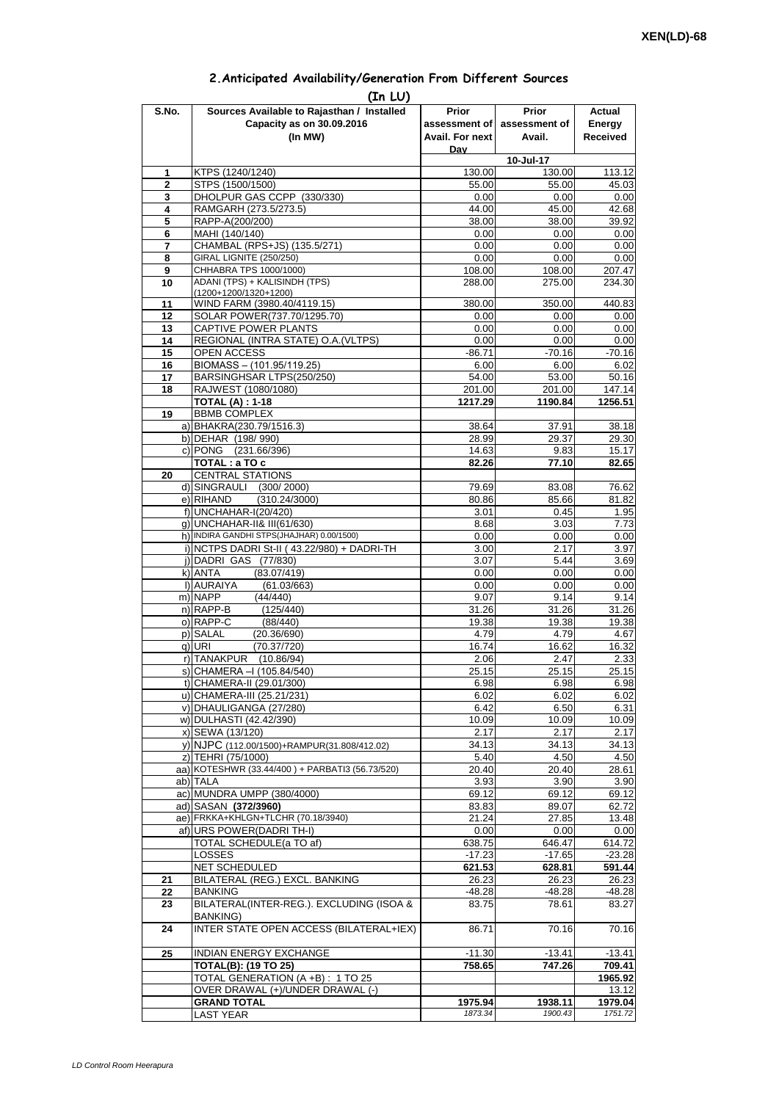| 2. Anticipated Availability/Generation From Different Sources |  |  |  |
|---------------------------------------------------------------|--|--|--|
|                                                               |  |  |  |

| S.No.             | (In LU)<br>Sources Available to Rajasthan / Installed      | <b>Prior</b>    | <b>Prior</b>   | Actual             |
|-------------------|------------------------------------------------------------|-----------------|----------------|--------------------|
|                   | Capacity as on 30.09.2016                                  | assessment of I | assessment of  | Energy             |
|                   | (In MW)                                                    | Avail. For next | Avail.         | Received           |
|                   |                                                            | Dav             |                |                    |
|                   |                                                            |                 | 10-Jul-17      |                    |
| 1                 | KTPS (1240/1240)                                           | 130.00          | 130.00         | 113.12             |
| $\mathbf{2}$<br>3 | STPS (1500/1500)<br>DHOLPUR GAS CCPP (330/330)             | 55.00<br>0.00   | 55.00<br>0.00  | 45.03<br>0.00      |
| 4                 | RAMGARH (273.5/273.5)                                      | 44.00           | 45.00          | 42.68              |
| 5                 | RAPP-A(200/200)                                            | 38.00           | 38.00          | 39.92              |
| 6                 | MAHI (140/140)                                             | 0.00            | 0.00           | 0.00               |
| 7                 | CHAMBAL (RPS+JS) (135.5/271)                               | 0.00            | 0.00           | 0.00               |
| 8                 | GIRAL LIGNITE (250/250)                                    | 0.00            | 0.00           | 0.00               |
| 9                 | CHHABRA TPS 1000/1000)<br>ADANI (TPS) + KALISINDH (TPS)    | 108.00          | 108.00         | 207.47             |
| 10                | (1200+1200/1320+1200)                                      | 288.00          | 275.00         | 234.30             |
| 11                | WIND FARM (3980.40/4119.15)                                | 380.00          | 350.00         | 440.83             |
| 12                | SOLAR POWER(737.70/1295.70)                                | 0.00            | 0.00           | 0.00               |
| 13                | CAPTIVE POWER PLANTS                                       | 0.00            | 0.00           | 0.00               |
| 14                | REGIONAL (INTRA STATE) O.A. (VLTPS)                        | 0.00            | 0.00           | 0.00               |
| 15                | OPEN ACCESS                                                | $-86.71$        | $-70.16$       | $-70.16$           |
| 16<br>17          | BIOMASS - (101.95/119.25)<br>BARSINGHSAR LTPS(250/250)     | 6.00<br>54.00   | 6.00<br>53.00  | 6.02<br>50.16      |
| 18                | RAJWEST (1080/1080)                                        | 201.00          | 201.00         | 147.14             |
|                   | <b>TOTAL (A): 1-18</b>                                     | 1217.29         | 1190.84        | 1256.51            |
| 19                | <b>BBMB COMPLEX</b>                                        |                 |                |                    |
|                   | a) BHAKRA(230.79/1516.3)                                   | 38.64           | 37.91          | 38.18              |
|                   | b) DEHAR (198/990)                                         | 28.99           | 29.37          | 29.30              |
|                   | c) PONG (231.66/396)                                       | 14.63           | 9.83           | 15.17              |
|                   | TOTAL: a TO c                                              | 82.26           | 77.10          | 82.65              |
| 20                | <b>CENTRAL STATIONS</b><br>d) SINGRAULI (300/2000)         | 79.69           | 83.08          | 76.62              |
|                   | e) RIHAND<br>(310.24/3000)                                 | 80.86           | 85.66          | 81.82              |
|                   | f) UNCHAHAR-I(20/420)                                      | 3.01            | 0.45           | 1.95               |
|                   | g) UNCHAHAR-II& III(61/630)                                | 8.68            | 3.03           | 7.73               |
|                   | h) INDIRA GANDHI STPS(JHAJHAR) 0.00/1500)                  | 0.00            | 0.00           | 0.00               |
|                   | i) NCTPS DADRI St-II (43.22/980) + DADRI-TH                | 3.00            | 2.17           | 3.97               |
|                   | j) DADRI GAS (77/830)                                      | 3.07            | 5.44           | 3.69               |
|                   | k) ANTA<br>(83.07/419)<br>I) AURAIYA<br>(61.03/663)        | 0.00<br>0.00    | 0.00<br>0.00   | 0.00<br>0.00       |
|                   | m) NAPP<br>(44/440)                                        | 9.07            | 9.14           | 9.14               |
|                   | n) RAPP-B<br>(125/440)                                     | 31.26           | 31.26          | 31.26              |
|                   | o) RAPP-C<br>(88/440)                                      | 19.38           | 19.38          | 19.38              |
|                   | p) SALAL<br>(20.36/690)                                    | 4.79            | 4.79           | 4.67               |
|                   | (70.37/720)<br>g) URI                                      | 16.74           | 16.62          | 16.32              |
|                   | r) TANAKPUR (10.86/94)                                     | 2.06            | 2.47           | 2.33               |
|                   | s) CHAMERA - (105.84/540)                                  | 25.15           | 25.15          | 25.15              |
|                   | t) CHAMERA-II (29.01/300)                                  | 6.98            | 6.98           | 6.98               |
|                   | u) CHAMERA-III (25.21/231)<br>v) DHAULIGANGA (27/280)      | 6.02<br>6.42    | 6.02<br>6.50   | 6.02<br>6.31       |
|                   | w) DULHASTI (42.42/390)                                    | 10.09           | 10.09          | 10.09              |
|                   | x) SEWA (13/120)                                           | 2.17            | 2.17           | 2.17               |
|                   | y) NJPC (112.00/1500)+RAMPUR(31.808/412.02)                | 34.13           | 34.13          | 34.13              |
|                   | z) TEHRI (75/1000)                                         | 5.40            | 4.50           | 4.50               |
|                   | aa) KOTESHWR (33.44/400) + PARBATI3 (56.73/520)            | 20.40           | 20.40          | 28.61              |
|                   | ab) TALA                                                   | 3.93            | 3.90           | 3.90               |
|                   | ac) MUNDRA UMPP (380/4000)                                 | 69.12           | 69.12          | 69.12              |
|                   | ad) SASAN (372/3960)<br>ae) FRKKA+KHLGN+TLCHR (70.18/3940) | 83.83<br>21.24  | 89.07<br>27.85 | 62.72<br>13.48     |
|                   | af) URS POWER(DADRI TH-I)                                  | 0.00            | 0.00           | 0.00               |
|                   | TOTAL SCHEDULE(a TO af)                                    | 638.75          | 646.47         | 614.72             |
|                   | LOSSES                                                     | $-17.23$        | $-17.65$       | $-23.28$           |
|                   | NET SCHEDULED                                              | 621.53          | 628.81         | 591.44             |
| 21                | BILATERAL (REG.) EXCL. BANKING                             | 26.23           | 26.23          | 26.23              |
| 22                | <b>BANKING</b>                                             | -48.28          | -48.28         | $-48.28$           |
| 23                | BILATERAL(INTER-REG.). EXCLUDING (ISOA &                   | 83.75           | 78.61          | 83.27              |
| 24                | <b>BANKING)</b><br>INTER STATE OPEN ACCESS (BILATERAL+IEX) | 86.71           | 70.16          | 70.16              |
|                   | <b>INDIAN ENERGY EXCHANGE</b>                              | $-11.30$        | $-13.41$       |                    |
| 25                | <b>TOTAL(B): (19 TO 25)</b>                                | 758.65          | 747.26         | $-13.41$<br>709.41 |
|                   | TOTAL GENERATION (A +B) : 1 TO 25                          |                 |                | 1965.92            |
|                   | OVER DRAWAL (+)/UNDER DRAWAL (-)                           |                 |                | 13.12              |
|                   | <b>GRAND TOTAL</b>                                         | 1975.94         | 1938.11        | 1979.04            |
|                   | <b>LAST YEAR</b>                                           | 1873.34         | 1900.43        | 1751.72            |